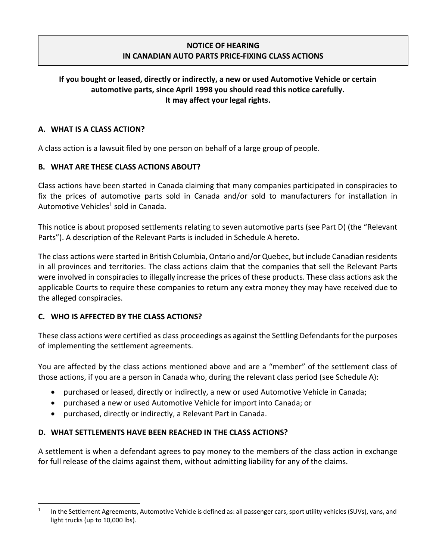### NOTICE OF HEARING IN CANADIAN AUTO PARTS PRICE-FIXING CLASS ACTIONS

# If you bought or leased, directly or indirectly, a new or used Automotive Vehicle or certain automotive parts, since April 1998 you should read this notice carefully. It may affect your legal rights.

#### A. WHAT IS A CLASS ACTION?

A class action is a lawsuit filed by one person on behalf of a large group of people.

#### B. WHAT ARE THESE CLASS ACTIONS ABOUT?

Class actions have been started in Canada claiming that many companies participated in conspiracies to fix the prices of automotive parts sold in Canada and/or sold to manufacturers for installation in Automotive Vehicles<sup>1</sup> sold in Canada.

This notice is about proposed settlements relating to seven automotive parts (see Part D) (the "Relevant Parts"). A description of the Relevant Parts is included in Schedule A hereto.

The class actions were started in British Columbia, Ontario and/or Quebec, but include Canadian residents in all provinces and territories. The class actions claim that the companies that sell the Relevant Parts were involved in conspiracies to illegally increase the prices of these products. These class actions ask the applicable Courts to require these companies to return any extra money they may have received due to the alleged conspiracies.

#### C. WHO IS AFFECTED BY THE CLASS ACTIONS?

These class actions were certified as class proceedings as against the Settling Defendants for the purposes of implementing the settlement agreements.

You are affected by the class actions mentioned above and are a "member" of the settlement class of those actions, if you are a person in Canada who, during the relevant class period (see Schedule A):

- purchased or leased, directly or indirectly, a new or used Automotive Vehicle in Canada;
- purchased a new or used Automotive Vehicle for import into Canada; or
- purchased, directly or indirectly, a Relevant Part in Canada.

#### D. WHAT SETTLEMENTS HAVE BEEN REACHED IN THE CLASS ACTIONS?

A settlement is when a defendant agrees to pay money to the members of the class action in exchange for full release of the claims against them, without admitting liability for any of the claims.

<sup>1</sup> In the Settlement Agreements, Automotive Vehicle is defined as: all passenger cars, sport utility vehicles (SUVs), vans, and light trucks (up to 10,000 lbs).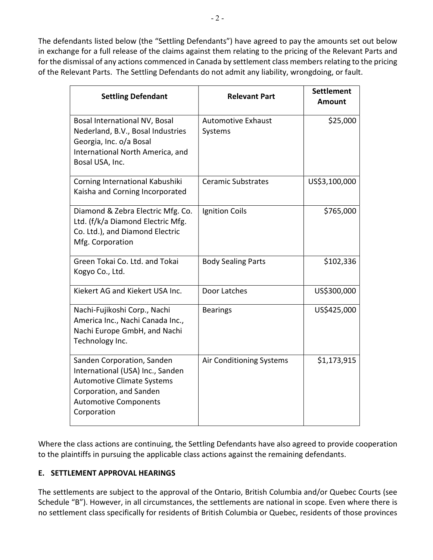The defendants listed below (the "Settling Defendants") have agreed to pay the amounts set out below in exchange for a full release of the claims against them relating to the pricing of the Relevant Parts and for the dismissal of any actions commenced in Canada by settlement class members relating to the pricing of the Relevant Parts. The Settling Defendants do not admit any liability, wrongdoing, or fault.

| <b>Settling Defendant</b>                                                                                                                                                     | <b>Relevant Part</b>                 | <b>Settlement</b><br><b>Amount</b> |
|-------------------------------------------------------------------------------------------------------------------------------------------------------------------------------|--------------------------------------|------------------------------------|
| Bosal International NV, Bosal<br>Nederland, B.V., Bosal Industries<br>Georgia, Inc. o/a Bosal<br>International North America, and<br>Bosal USA, Inc.                          | <b>Automotive Exhaust</b><br>Systems | \$25,000                           |
| Corning International Kabushiki<br>Kaisha and Corning Incorporated                                                                                                            | <b>Ceramic Substrates</b>            | US\$3,100,000                      |
| Diamond & Zebra Electric Mfg. Co.<br>Ltd. (f/k/a Diamond Electric Mfg.<br>Co. Ltd.), and Diamond Electric<br>Mfg. Corporation                                                 | Ignition Coils                       | \$765,000                          |
| Green Tokai Co. Ltd. and Tokai<br>Kogyo Co., Ltd.                                                                                                                             | <b>Body Sealing Parts</b>            | \$102,336                          |
| Kiekert AG and Kiekert USA Inc.                                                                                                                                               | Door Latches                         | US\$300,000                        |
| Nachi-Fujikoshi Corp., Nachi<br>America Inc., Nachi Canada Inc.,<br>Nachi Europe GmbH, and Nachi<br>Technology Inc.                                                           | <b>Bearings</b>                      | US\$425,000                        |
| Sanden Corporation, Sanden<br>International (USA) Inc., Sanden<br><b>Automotive Climate Systems</b><br>Corporation, and Sanden<br><b>Automotive Components</b><br>Corporation | Air Conditioning Systems             | \$1,173,915                        |

Where the class actions are continuing, the Settling Defendants have also agreed to provide cooperation to the plaintiffs in pursuing the applicable class actions against the remaining defendants.

#### E. SETTLEMENT APPROVAL HEARINGS

The settlements are subject to the approval of the Ontario, British Columbia and/or Quebec Courts (see Schedule "B"). However, in all circumstances, the settlements are national in scope. Even where there is no settlement class specifically for residents of British Columbia or Quebec, residents of those provinces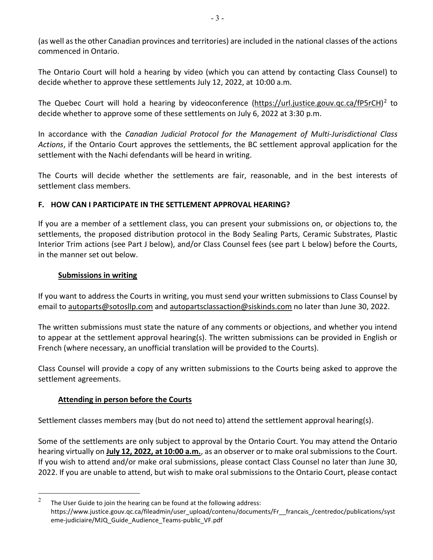(as well as the other Canadian provinces and territories) are included in the national classes of the actions commenced in Ontario.

The Ontario Court will hold a hearing by video (which you can attend by contacting Class Counsel) to decide whether to approve these settlements July 12, 2022, at 10:00 a.m.

The Quebec Court will hold a hearing by videoconference (https://url.justice.gouv.qc.ca/fP5rCH)<sup>2</sup> to decide whether to approve some of these settlements on July 6, 2022 at 3:30 p.m.

In accordance with the Canadian Judicial Protocol for the Management of Multi-Jurisdictional Class Actions, if the Ontario Court approves the settlements, the BC settlement approval application for the settlement with the Nachi defendants will be heard in writing.

The Courts will decide whether the settlements are fair, reasonable, and in the best interests of settlement class members.

#### F. HOW CAN I PARTICIPATE IN THE SETTLEMENT APPROVAL HEARING?

If you are a member of a settlement class, you can present your submissions on, or objections to, the settlements, the proposed distribution protocol in the Body Sealing Parts, Ceramic Substrates, Plastic Interior Trim actions (see Part J below), and/or Class Counsel fees (see part L below) before the Courts, in the manner set out below.

#### Submissions in writing

If you want to address the Courts in writing, you must send your written submissions to Class Counsel by email to autoparts@sotosllp.com and autopartsclassaction@siskinds.com no later than June 30, 2022.

The written submissions must state the nature of any comments or objections, and whether you intend to appear at the settlement approval hearing(s). The written submissions can be provided in English or French (where necessary, an unofficial translation will be provided to the Courts).

Class Counsel will provide a copy of any written submissions to the Courts being asked to approve the settlement agreements.

#### Attending in person before the Courts

Settlement classes members may (but do not need to) attend the settlement approval hearing(s).

Some of the settlements are only subject to approval by the Ontario Court. You may attend the Ontario hearing virtually on July 12, 2022, at 10:00 a.m., as an observer or to make oral submissions to the Court. If you wish to attend and/or make oral submissions, please contact Class Counsel no later than June 30, 2022. If you are unable to attend, but wish to make oral submissions to the Ontario Court, please contact

<sup>2</sup> The User Guide to join the hearing can be found at the following address: https://www.justice.gouv.qc.ca/fileadmin/user\_upload/contenu/documents/Fr\_\_francais\_/centredoc/publications/syst eme-judiciaire/MJQ\_Guide\_Audience\_Teams-public\_VF.pdf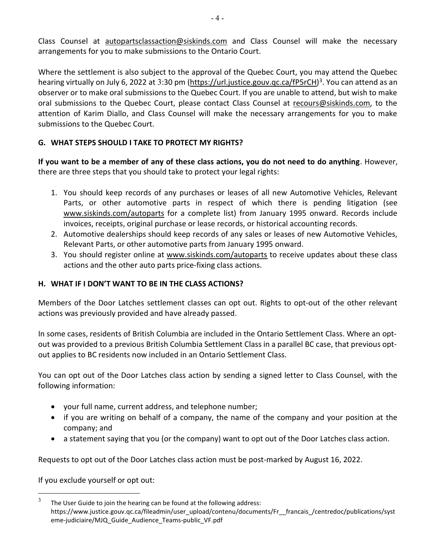Class Counsel at autopartsclassaction@siskinds.com and Class Counsel will make the necessary arrangements for you to make submissions to the Ontario Court.

Where the settlement is also subject to the approval of the Quebec Court, you may attend the Quebec hearing virtually on July 6, 2022 at 3:30 pm (https://url.justice.gouv.qc.ca/fP5rCH)<sup>3</sup>. You can attend as an observer or to make oral submissions to the Quebec Court. If you are unable to attend, but wish to make oral submissions to the Quebec Court, please contact Class Counsel at recours@siskinds.com, to the attention of Karim Diallo, and Class Counsel will make the necessary arrangements for you to make submissions to the Quebec Court.

# G. WHAT STEPS SHOULD I TAKE TO PROTECT MY RIGHTS?

If you want to be a member of any of these class actions, you do not need to do anything. However, there are three steps that you should take to protect your legal rights:

- 1. You should keep records of any purchases or leases of all new Automotive Vehicles, Relevant Parts, or other automotive parts in respect of which there is pending litigation (see www.siskinds.com/autoparts for a complete list) from January 1995 onward. Records include invoices, receipts, original purchase or lease records, or historical accounting records.
- 2. Automotive dealerships should keep records of any sales or leases of new Automotive Vehicles, Relevant Parts, or other automotive parts from January 1995 onward.
- 3. You should register online at www.siskinds.com/autoparts to receive updates about these class actions and the other auto parts price-fixing class actions.

## H. WHAT IF I DON'T WANT TO BE IN THE CLASS ACTIONS?

Members of the Door Latches settlement classes can opt out. Rights to opt-out of the other relevant actions was previously provided and have already passed.

In some cases, residents of British Columbia are included in the Ontario Settlement Class. Where an optout was provided to a previous British Columbia Settlement Class in a parallel BC case, that previous optout applies to BC residents now included in an Ontario Settlement Class.

You can opt out of the Door Latches class action by sending a signed letter to Class Counsel, with the following information:

- your full name, current address, and telephone number;
- if you are writing on behalf of a company, the name of the company and your position at the company; and
- a statement saying that you (or the company) want to opt out of the Door Latches class action.

Requests to opt out of the Door Latches class action must be post-marked by August 16, 2022.

If you exclude yourself or opt out:

<sup>3</sup> The User Guide to join the hearing can be found at the following address: https://www.justice.gouv.qc.ca/fileadmin/user\_upload/contenu/documents/Fr\_\_francais\_/centredoc/publications/syst eme-judiciaire/MJQ\_Guide\_Audience\_Teams-public\_VF.pdf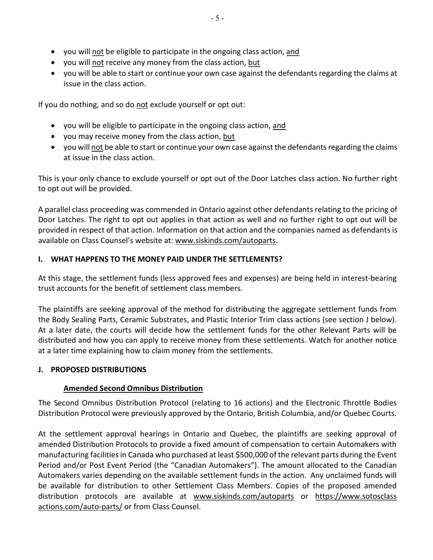- you will not be eligible to participate in the ongoing class action, and
- you will not receive any money from the class action, but
- you will be able to start or continue your own case against the defendants regarding the claims at issue in the class action.

If you do nothing, and so do not exclude yourself or opt out:

- you will be eligible to participate in the ongoing class action, and
- you may receive money from the class action, but
- you will not be able to start or continue your own case against the defendants regarding the claims at issue in the class action.

This is your only chance to exclude yourself or opt out of the Door Latches class action. No further right to opt out will be provided.

A parallel class proceeding was commended in Ontario against other defendants relating to the pricing of Door Latches. The right to opt out applies in that action as well and no further right to opt out will be provided in respect of that action. Information on that action and the companies named as defendants is available on Class Counsel's website at: www.siskinds.com/autoparts.

#### I. WHAT HAPPENS TO THE MONEY PAID UNDER THE SETTLEMENTS?

At this stage, the settlement funds (less approved fees and expenses) are being held in interest-bearing trust accounts for the benefit of settlement class members.

The plaintiffs are seeking approval of the method for distributing the aggregate settlement funds from the Body Sealing Parts, Ceramic Substrates, and Plastic Interior Trim class actions (see section J below). At a later date, the courts will decide how the settlement funds for the other Relevant Parts will be distributed and how you can apply to receive money from these settlements. Watch for another notice at a later time explaining how to claim money from the settlements.

#### J. PROPOSED DISTRIBUTIONS

#### Amended Second Omnibus Distribution

The Second Omnibus Distribution Protocol (relating to 16 actions) and the Electronic Throttle Bodies Distribution Protocol were previously approved by the Ontario, British Columbia, and/or Quebec Courts.

At the settlement approval hearings in Ontario and Quebec, the plaintiffs are seeking approval of amended Distribution Protocols to provide a fixed amount of compensation to certain Automakers with manufacturing facilities in Canada who purchased at least \$500,000 of the relevant parts during the Event Period and/or Post Event Period (the "Canadian Automakers"). The amount allocated to the Canadian Automakers varies depending on the available settlement funds in the action. Any unclaimed funds will be available for distribution to other Settlement Class Members. Copies of the proposed amended distribution protocols are available at www.siskinds.com/autoparts or https://www.sotosclass actions.com/auto-parts/ or from Class Counsel.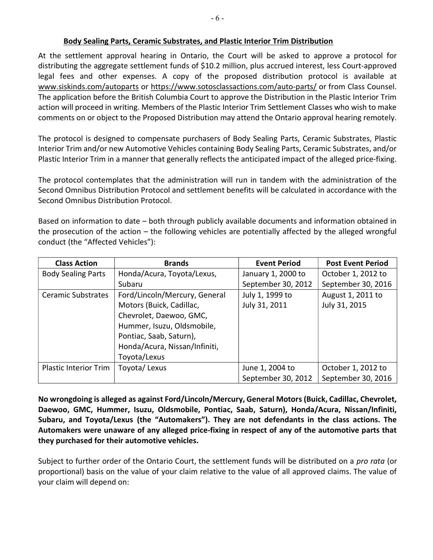#### Body Sealing Parts, Ceramic Substrates, and Plastic Interior Trim Distribution

At the settlement approval hearing in Ontario, the Court will be asked to approve a protocol for distributing the aggregate settlement funds of \$10.2 million, plus accrued interest, less Court-approved legal fees and other expenses. A copy of the proposed distribution protocol is available at www.siskinds.com/autoparts or https://www.sotosclassactions.com/auto-parts/ or from Class Counsel. The application before the British Columbia Court to approve the Distribution in the Plastic Interior Trim action will proceed in writing. Members of the Plastic Interior Trim Settlement Classes who wish to make comments on or object to the Proposed Distribution may attend the Ontario approval hearing remotely.

The protocol is designed to compensate purchasers of Body Sealing Parts, Ceramic Substrates, Plastic Interior Trim and/or new Automotive Vehicles containing Body Sealing Parts, Ceramic Substrates, and/or Plastic Interior Trim in a manner that generally reflects the anticipated impact of the alleged price-fixing.

The protocol contemplates that the administration will run in tandem with the administration of the Second Omnibus Distribution Protocol and settlement benefits will be calculated in accordance with the Second Omnibus Distribution Protocol.

Based on information to date – both through publicly available documents and information obtained in the prosecution of the action – the following vehicles are potentially affected by the alleged wrongful conduct (the "Affected Vehicles"):

| <b>Class Action</b>          | <b>Brands</b>                 | <b>Event Period</b> | <b>Post Event Period</b> |
|------------------------------|-------------------------------|---------------------|--------------------------|
| <b>Body Sealing Parts</b>    | Honda/Acura, Toyota/Lexus,    | January 1, 2000 to  | October 1, 2012 to       |
|                              | Subaru                        | September 30, 2012  | September 30, 2016       |
| <b>Ceramic Substrates</b>    | Ford/Lincoln/Mercury, General | July 1, 1999 to     | August 1, 2011 to        |
|                              | Motors (Buick, Cadillac,      | July 31, 2011       | July 31, 2015            |
|                              | Chevrolet, Daewoo, GMC,       |                     |                          |
|                              | Hummer, Isuzu, Oldsmobile,    |                     |                          |
|                              | Pontiac, Saab, Saturn),       |                     |                          |
|                              | Honda/Acura, Nissan/Infiniti, |                     |                          |
|                              | Toyota/Lexus                  |                     |                          |
| <b>Plastic Interior Trim</b> | Toyota/Lexus                  | June 1, 2004 to     | October 1, 2012 to       |
|                              |                               | September 30, 2012  | September 30, 2016       |

No wrongdoing is alleged as against Ford/Lincoln/Mercury, General Motors (Buick, Cadillac, Chevrolet, Daewoo, GMC, Hummer, Isuzu, Oldsmobile, Pontiac, Saab, Saturn), Honda/Acura, Nissan/Infiniti, Subaru, and Toyota/Lexus (the "Automakers"). They are not defendants in the class actions. The Automakers were unaware of any alleged price-fixing in respect of any of the automotive parts that they purchased for their automotive vehicles.

Subject to further order of the Ontario Court, the settlement funds will be distributed on a *pro rata* (or proportional) basis on the value of your claim relative to the value of all approved claims. The value of your claim will depend on: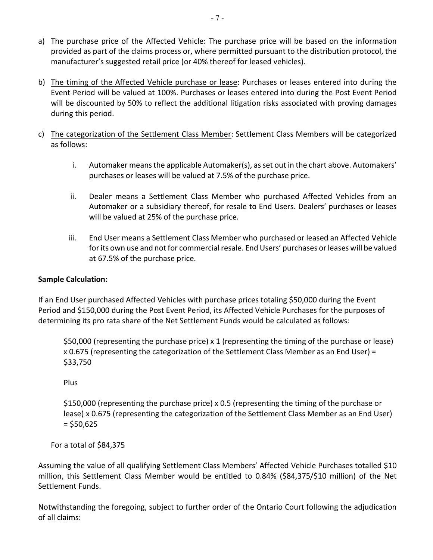- a) The purchase price of the Affected Vehicle: The purchase price will be based on the information provided as part of the claims process or, where permitted pursuant to the distribution protocol, the manufacturer's suggested retail price (or 40% thereof for leased vehicles).
- b) The timing of the Affected Vehicle purchase or lease: Purchases or leases entered into during the Event Period will be valued at 100%. Purchases or leases entered into during the Post Event Period will be discounted by 50% to reflect the additional litigation risks associated with proving damages during this period.
- c) The categorization of the Settlement Class Member: Settlement Class Members will be categorized as follows:
	- i. Automaker means the applicable Automaker(s), as set out in the chart above. Automakers' purchases or leases will be valued at 7.5% of the purchase price.
	- ii. Dealer means a Settlement Class Member who purchased Affected Vehicles from an Automaker or a subsidiary thereof, for resale to End Users. Dealers' purchases or leases will be valued at 25% of the purchase price.
	- iii. End User means a Settlement Class Member who purchased or leased an Affected Vehicle for its own use and not for commercial resale. End Users' purchases or leases will be valued at 67.5% of the purchase price.

# Sample Calculation:

If an End User purchased Affected Vehicles with purchase prices totaling \$50,000 during the Event Period and \$150,000 during the Post Event Period, its Affected Vehicle Purchases for the purposes of determining its pro rata share of the Net Settlement Funds would be calculated as follows:

\$50,000 (representing the purchase price) x 1 (representing the timing of the purchase or lease) x 0.675 (representing the categorization of the Settlement Class Member as an End User) = \$33,750

Plus

\$150,000 (representing the purchase price) x 0.5 (representing the timing of the purchase or lease) x 0.675 (representing the categorization of the Settlement Class Member as an End User)  $=$  \$50,625

For a total of \$84,375

Assuming the value of all qualifying Settlement Class Members' Affected Vehicle Purchases totalled \$10 million, this Settlement Class Member would be entitled to 0.84% (\$84,375/\$10 million) of the Net Settlement Funds.

Notwithstanding the foregoing, subject to further order of the Ontario Court following the adjudication of all claims: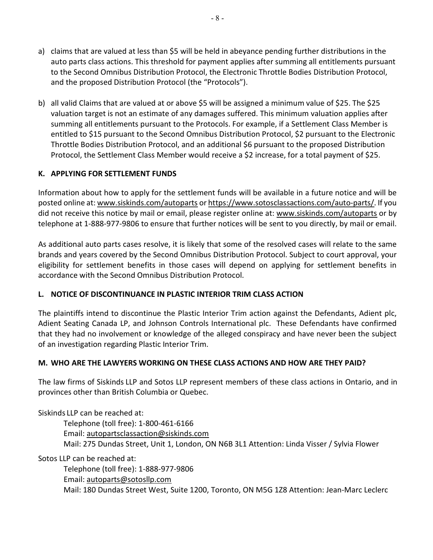- a) claims that are valued at less than \$5 will be held in abeyance pending further distributions in the auto parts class actions. This threshold for payment applies after summing all entitlements pursuant to the Second Omnibus Distribution Protocol, the Electronic Throttle Bodies Distribution Protocol, and the proposed Distribution Protocol (the "Protocols").
- b) all valid Claims that are valued at or above \$5 will be assigned a minimum value of \$25. The \$25 valuation target is not an estimate of any damages suffered. This minimum valuation applies after summing all entitlements pursuant to the Protocols. For example, if a Settlement Class Member is entitled to \$15 pursuant to the Second Omnibus Distribution Protocol, \$2 pursuant to the Electronic Throttle Bodies Distribution Protocol, and an additional \$6 pursuant to the proposed Distribution Protocol, the Settlement Class Member would receive a \$2 increase, for a total payment of \$25.

#### K. APPLYING FOR SETTLEMENT FUNDS

Information about how to apply for the settlement funds will be available in a future notice and will be posted online at: www.siskinds.com/autoparts or https://www.sotosclassactions.com/auto-parts/. If you did not receive this notice by mail or email, please register online at: www.siskinds.com/autoparts or by telephone at 1-888-977-9806 to ensure that further notices will be sent to you directly, by mail or email.

As additional auto parts cases resolve, it is likely that some of the resolved cases will relate to the same brands and years covered by the Second Omnibus Distribution Protocol. Subject to court approval, your eligibility for settlement benefits in those cases will depend on applying for settlement benefits in accordance with the Second Omnibus Distribution Protocol.

#### L. NOTICE OF DISCONTINUANCE IN PLASTIC INTERIOR TRIM CLASS ACTION

The plaintiffs intend to discontinue the Plastic Interior Trim action against the Defendants, Adient plc, Adient Seating Canada LP, and Johnson Controls International plc. These Defendants have confirmed that they had no involvement or knowledge of the alleged conspiracy and have never been the subject of an investigation regarding Plastic Interior Trim.

#### M. WHO ARE THE LAWYERS WORKING ON THESE CLASS ACTIONS AND HOW ARE THEY PAID?

The law firms of Siskinds LLP and Sotos LLP represent members of these class actions in Ontario, and in provinces other than British Columbia or Quebec.

Siskinds LLP can be reached at:

Telephone (toll free): 1-800-461-6166 Email: autopartsclassaction@siskinds.com Mail: 275 Dundas Street, Unit 1, London, ON N6B 3L1 Attention: Linda Visser / Sylvia Flower

Sotos LLP can be reached at:

 Telephone (toll free): 1-888-977-9806 Email: autoparts@sotosllp.com Mail: 180 Dundas Street West, Suite 1200, Toronto, ON M5G 1Z8 Attention: Jean-Marc Leclerc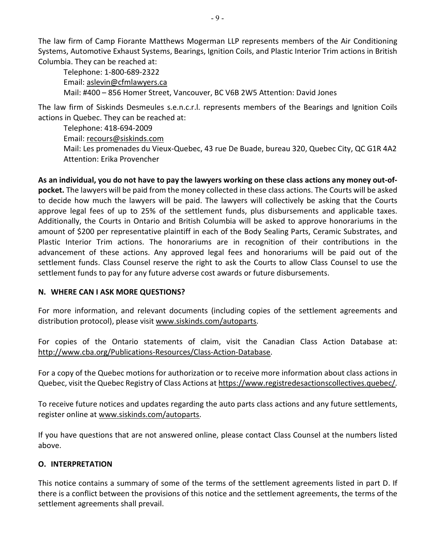The law firm of Camp Fiorante Matthews Mogerman LLP represents members of the Air Conditioning Systems, Automotive Exhaust Systems, Bearings, Ignition Coils, and Plastic Interior Trim actions in British Columbia. They can be reached at:

Telephone: 1-800-689-2322 Email: aslevin@cfmlawyers.ca Mail: #400 – 856 Homer Street, Vancouver, BC V6B 2W5 Attention: David Jones

The law firm of Siskinds Desmeules s.e.n.c.r.l. represents members of the Bearings and Ignition Coils actions in Quebec. They can be reached at:

Telephone: 418-694-2009 Email: recours@siskinds.com Mail: Les promenades du Vieux-Quebec, 43 rue De Buade, bureau 320, Quebec City, QC G1R 4A2 Attention: Erika Provencher

As an individual, you do not have to pay the lawyers working on these class actions any money out-ofpocket. The lawyers will be paid from the money collected in these class actions. The Courts will be asked to decide how much the lawyers will be paid. The lawyers will collectively be asking that the Courts approve legal fees of up to 25% of the settlement funds, plus disbursements and applicable taxes. Additionally, the Courts in Ontario and British Columbia will be asked to approve honorariums in the amount of \$200 per representative plaintiff in each of the Body Sealing Parts, Ceramic Substrates, and Plastic Interior Trim actions. The honorariums are in recognition of their contributions in the advancement of these actions. Any approved legal fees and honorariums will be paid out of the settlement funds. Class Counsel reserve the right to ask the Courts to allow Class Counsel to use the settlement funds to pay for any future adverse cost awards or future disbursements.

#### N. WHERE CAN I ASK MORE QUESTIONS?

For more information, and relevant documents (including copies of the settlement agreements and distribution protocol), please visit www.siskinds.com/autoparts.

For copies of the Ontario statements of claim, visit the Canadian Class Action Database at: http://www.cba.org/Publications-Resources/Class-Action-Database.

For a copy of the Quebec motions for authorization or to receive more information about class actions in Quebec, visit the Quebec Registry of Class Actions at https://www.registredesactionscollectives.quebec/.

To receive future notices and updates regarding the auto parts class actions and any future settlements, register online at www.siskinds.com/autoparts.

If you have questions that are not answered online, please contact Class Counsel at the numbers listed above.

#### O. INTERPRETATION

This notice contains a summary of some of the terms of the settlement agreements listed in part D. If there is a conflict between the provisions of this notice and the settlement agreements, the terms of the settlement agreements shall prevail.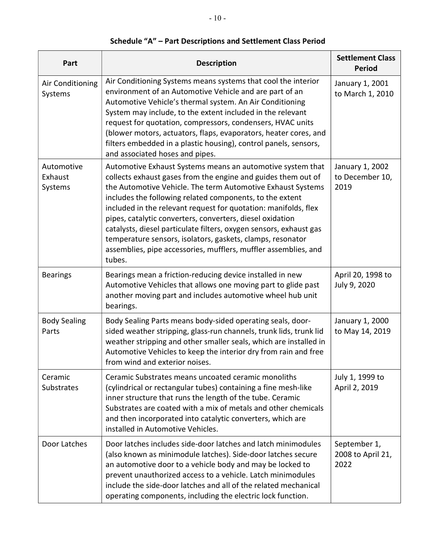| Part                             | <b>Description</b>                                                                                                                                                                                                                                                                                                                                                                                                                                                                                                                                                                                      | <b>Settlement Class</b><br><b>Period</b>   |
|----------------------------------|---------------------------------------------------------------------------------------------------------------------------------------------------------------------------------------------------------------------------------------------------------------------------------------------------------------------------------------------------------------------------------------------------------------------------------------------------------------------------------------------------------------------------------------------------------------------------------------------------------|--------------------------------------------|
| Air Conditioning<br>Systems      | Air Conditioning Systems means systems that cool the interior<br>environment of an Automotive Vehicle and are part of an<br>Automotive Vehicle's thermal system. An Air Conditioning<br>System may include, to the extent included in the relevant<br>request for quotation, compressors, condensers, HVAC units<br>(blower motors, actuators, flaps, evaporators, heater cores, and<br>filters embedded in a plastic housing), control panels, sensors,<br>and associated hoses and pipes.                                                                                                             | January 1, 2001<br>to March 1, 2010        |
| Automotive<br>Exhaust<br>Systems | Automotive Exhaust Systems means an automotive system that<br>collects exhaust gases from the engine and guides them out of<br>the Automotive Vehicle. The term Automotive Exhaust Systems<br>includes the following related components, to the extent<br>included in the relevant request for quotation: manifolds, flex<br>pipes, catalytic converters, converters, diesel oxidation<br>catalysts, diesel particulate filters, oxygen sensors, exhaust gas<br>temperature sensors, isolators, gaskets, clamps, resonator<br>assemblies, pipe accessories, mufflers, muffler assemblies, and<br>tubes. | January 1, 2002<br>to December 10,<br>2019 |
| <b>Bearings</b>                  | Bearings mean a friction-reducing device installed in new<br>Automotive Vehicles that allows one moving part to glide past<br>another moving part and includes automotive wheel hub unit<br>bearings.                                                                                                                                                                                                                                                                                                                                                                                                   | April 20, 1998 to<br>July 9, 2020          |
| <b>Body Sealing</b><br>Parts     | Body Sealing Parts means body-sided operating seals, door-<br>sided weather stripping, glass-run channels, trunk lids, trunk lid<br>weather stripping and other smaller seals, which are installed in<br>Automotive Vehicles to keep the interior dry from rain and free<br>from wind and exterior noises.                                                                                                                                                                                                                                                                                              | January 1, 2000<br>to May 14, 2019         |
| Ceramic<br><b>Substrates</b>     | Ceramic Substrates means uncoated ceramic monoliths<br>(cylindrical or rectangular tubes) containing a fine mesh-like<br>inner structure that runs the length of the tube. Ceramic<br>Substrates are coated with a mix of metals and other chemicals<br>and then incorporated into catalytic converters, which are<br>installed in Automotive Vehicles.                                                                                                                                                                                                                                                 | July 1, 1999 to<br>April 2, 2019           |
| Door Latches                     | Door latches includes side-door latches and latch minimodules<br>(also known as minimodule latches). Side-door latches secure<br>an automotive door to a vehicle body and may be locked to<br>prevent unauthorized access to a vehicle. Latch minimodules<br>include the side-door latches and all of the related mechanical<br>operating components, including the electric lock function.                                                                                                                                                                                                             | September 1,<br>2008 to April 21,<br>2022  |

# Schedule "A" – Part Descriptions and Settlement Class Period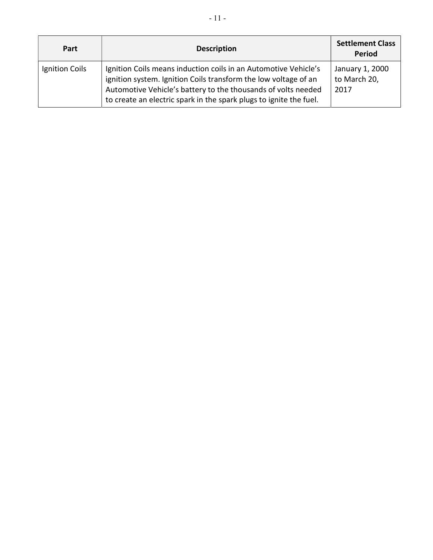| Part           | <b>Description</b>                                                                                                                                                                                                                                                        | <b>Settlement Class</b><br><b>Period</b> |
|----------------|---------------------------------------------------------------------------------------------------------------------------------------------------------------------------------------------------------------------------------------------------------------------------|------------------------------------------|
| Ignition Coils | Ignition Coils means induction coils in an Automotive Vehicle's<br>ignition system. Ignition Coils transform the low voltage of an<br>Automotive Vehicle's battery to the thousands of volts needed<br>to create an electric spark in the spark plugs to ignite the fuel. | January 1, 2000<br>to March 20,<br>2017  |